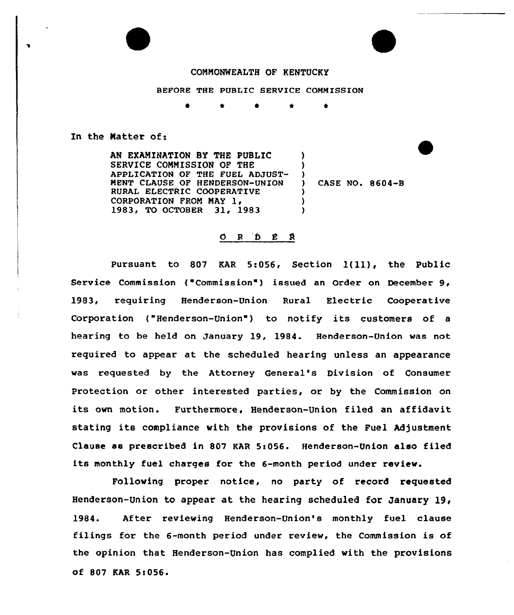## COMMONWEALTH OF KENTUCKY

## BEFORE THE PUBLIC SERVICE COMMISSION

 $\bullet$ 

## In the Matter of:

AN EXAMINATION BY THE PUBLIC SERVICE COMMISSION OF THE APPLICATION OF THE FUEL ADJUST-MENT CLAUSE OF HENDERSON-UNION RURAL ELECTRIC COOPERATIVE<br>CORPORATION FROM MAY 1. 1983, TO OCTOBER 31, 1983 ) )  $\left\{ \begin{array}{c} 1 \\ 2 \end{array} \right\}$ CASE NO. 8604-B  $\lambda$ )  $\mathbf{v}$ 

## ORDER

pursuant to <sup>807</sup> KAR 5:056, Section l(11), the Public Service Commission ("Commission") issued an Order on December 9, 1983, requiring Henderson-Union Rural Electric Cooperative Corporation ("Henderson-Union") to notify its customers of a hearing to be held on January 19, 1984. Henderson-Union was not required to appear at the scheduled hearing unless an appearance was requested by the Attorney General's Division of Consumer Protection or other interested parties, or by the Commission on its own motion. Furthermore, Henderson-Union filed an affidavit. stating its compliance with the provisions of the Fuel Adjustment Clause as prescribed in 807 KAR 5:056. Henderson-Union also filed its monthly fuel charges for the 6-month period under review.

Following proper notice, no party of record requested Henderson-Union to appear at the hearing scheduled for January 19, 1984. After reviewing Henderson-Union's monthly fuel clause filings for the 6-month period under review, the Commission is of the opinion that Henderson-Union has complied with the provisions of 807 KAR 5:056.